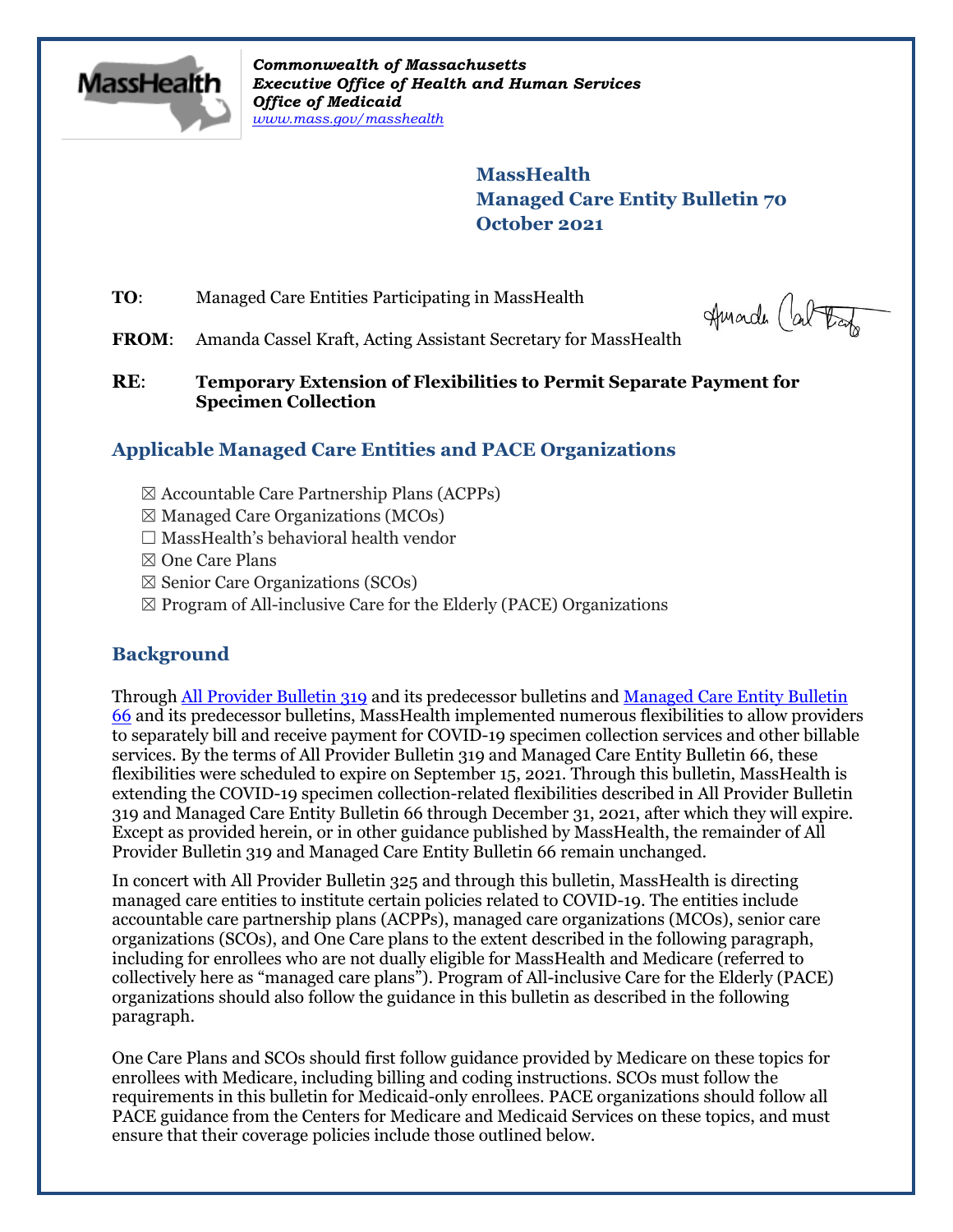

*Commonwealth of Massachusetts Executive Office of Health and Human Services Office of Medicaid [www.mass.gov/masshealth](http://www.mass.gov/masshealth)*

> **MassHealth Managed Care Entity Bulletin 70 October 2021**

**TO:** Managed Care Entities Participating in MassHealth

Amade Cal took

**FROM**: Amanda Cassel Kraft, Acting Assistant Secretary for MassHealth

#### **RE**: **Temporary Extension of Flexibilities to Permit Separate Payment for Specimen Collection**

# **Applicable Managed Care Entities and PACE Organizations**

- ☒ Accountable Care Partnership Plans (ACPPs)
- $\boxtimes$  Managed Care Organizations (MCOs)
- $\Box$  MassHealth's behavioral health vendor
- ☒ One Care Plans
- ☒ Senior Care Organizations (SCOs)
- $\boxtimes$  Program of All-inclusive Care for the Elderly (PACE) Organizations

### **Background**

Throug[h All Provider Bulletin 319](https://www.mass.gov/lists/all-provider-bulletins) and its predecessor bulletins an[d Managed Care Entity Bulletin](https://www.mass.gov/lists/masshealth-provider-bulletins-by-provider-type-i-n#managed-care-entity-)  [66](https://www.mass.gov/lists/masshealth-provider-bulletins-by-provider-type-i-n#managed-care-entity-) and its predecessor bulletins, MassHealth implemented numerous flexibilities to allow providers to separately bill and receive payment for COVID-19 specimen collection services and other billable services. By the terms of All Provider Bulletin 319 and Managed Care Entity Bulletin 66, these flexibilities were scheduled to expire on September 15, 2021. Through this bulletin, MassHealth is extending the COVID-19 specimen collection-related flexibilities described in All Provider Bulletin 319 and Managed Care Entity Bulletin 66 through December 31, 2021, after which they will expire. Except as provided herein, or in other guidance published by MassHealth, the remainder of All Provider Bulletin 319 and Managed Care Entity Bulletin 66 remain unchanged.

In concert with All Provider Bulletin 325 and through this bulletin, MassHealth is directing managed care entities to institute certain policies related to COVID-19. The entities include accountable care partnership plans (ACPPs), managed care organizations (MCOs), senior care organizations (SCOs), and One Care plans to the extent described in the following paragraph, including for enrollees who are not dually eligible for MassHealth and Medicare (referred to collectively here as "managed care plans"). Program of All-inclusive Care for the Elderly (PACE) organizations should also follow the guidance in this bulletin as described in the following paragraph.

One Care Plans and SCOs should first follow guidance provided by Medicare on these topics for enrollees with Medicare, including billing and coding instructions. SCOs must follow the requirements in this bulletin for Medicaid-only enrollees. PACE organizations should follow all PACE guidance from the Centers for Medicare and Medicaid Services on these topics, and must ensure that their coverage policies include those outlined below.